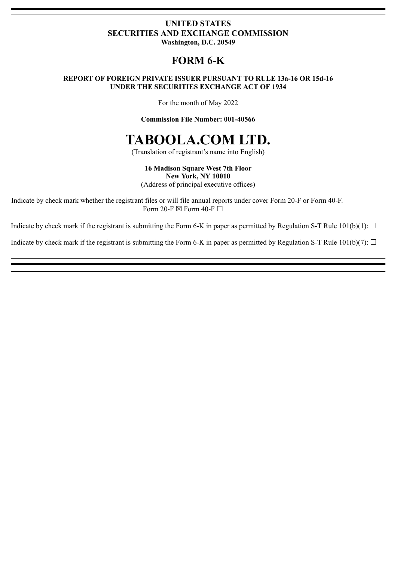### **UNITED STATES SECURITIES AND EXCHANGE COMMISSION Washington, D.C. 20549**

## **FORM 6-K**

### **REPORT OF FOREIGN PRIVATE ISSUER PURSUANT TO RULE 13a-16 OR 15d-16 UNDER THE SECURITIES EXCHANGE ACT OF 1934**

For the month of May 2022

**Commission File Number: 001-40566**

# **TABOOLA.COM LTD.**

(Translation of registrant's name into English)

**16 Madison Square West 7th Floor New York, NY 10010**

(Address of principal executive offices)

Indicate by check mark whether the registrant files or will file annual reports under cover Form 20-F or Form 40-F. Form 20-F  $\boxtimes$  Form 40-F  $\Box$ 

Indicate by check mark if the registrant is submitting the Form 6-K in paper as permitted by Regulation S-T Rule  $101(b)(1)$ :  $\Box$ 

Indicate by check mark if the registrant is submitting the Form 6-K in paper as permitted by Regulation S-T Rule  $101(b)(7)$ :  $\Box$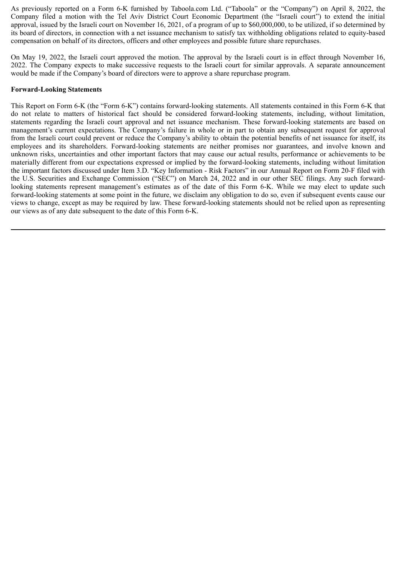As previously reported on a Form 6-K furnished by Taboola.com Ltd. ("Taboola" or the "Company") on April 8, 2022, the Company filed a motion with the Tel Aviv District Court Economic Department (the "Israeli court") to extend the initial approval, issued by the Israeli court on November 16, 2021, of a program of up to \$60,000,000, to be utilized, if so determined by its board of directors, in connection with a net issuance mechanism to satisfy tax withholding obligations related to equity-based compensation on behalf of its directors, officers and other employees and possible future share repurchases.

On May 19, 2022, the Israeli court approved the motion. The approval by the Israeli court is in effect through November 16, 2022. The Company expects to make successive requests to the Israeli court for similar approvals. A separate announcement would be made if the Company's board of directors were to approve a share repurchase program.

### **Forward-Looking Statements**

This Report on Form 6-K (the "Form 6-K") contains forward-looking statements. All statements contained in this Form 6-K that do not relate to matters of historical fact should be considered forward-looking statements, including, without limitation, statements regarding the Israeli court approval and net issuance mechanism. These forward-looking statements are based on management's current expectations. The Company's failure in whole or in part to obtain any subsequent request for approval from the Israeli court could prevent or reduce the Company's ability to obtain the potential benefits of net issuance for itself, its employees and its shareholders. Forward-looking statements are neither promises nor guarantees, and involve known and unknown risks, uncertainties and other important factors that may cause our actual results, performance or achievements to be materially different from our expectations expressed or implied by the forward-looking statements, including without limitation the important factors discussed under Item 3.D. "Key Information - Risk Factors" in our Annual Report on Form 20-F filed with the U.S. Securities and Exchange Commission ("SEC") on March 24, 2022 and in our other SEC filings. Any such forwardlooking statements represent management's estimates as of the date of this Form 6-K. While we may elect to update such forward-looking statements at some point in the future, we disclaim any obligation to do so, even if subsequent events cause our views to change, except as may be required by law. These forward-looking statements should not be relied upon as representing our views as of any date subsequent to the date of this Form 6-K.